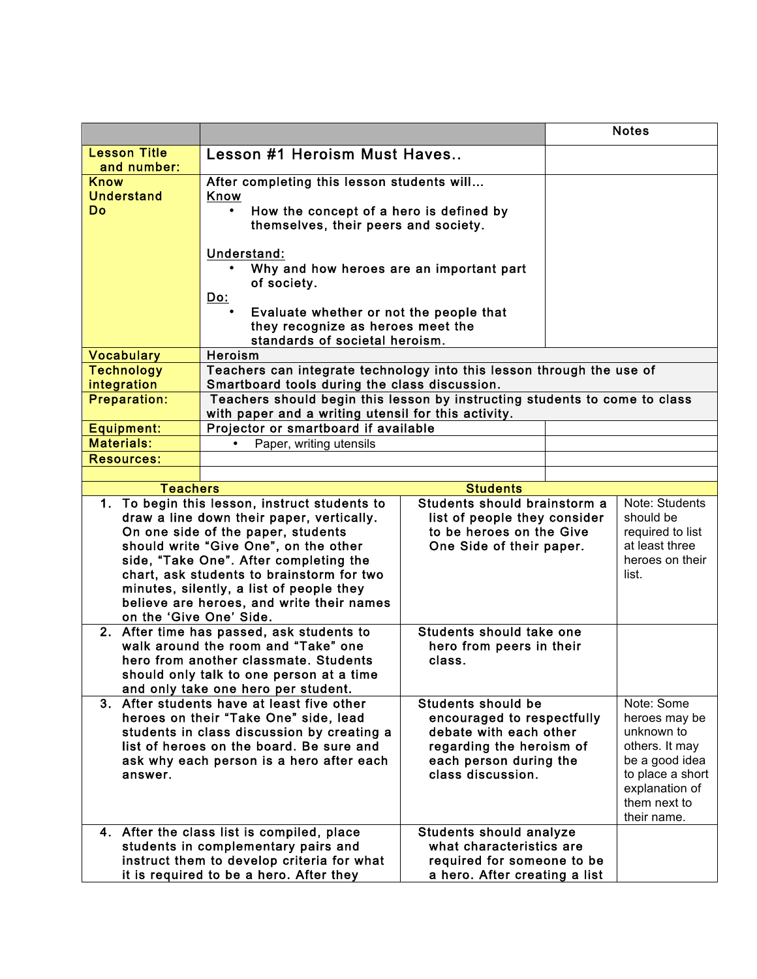|                                                                                      |                                                                                                                                   |                                                              |  | <b>Notes</b>                       |  |
|--------------------------------------------------------------------------------------|-----------------------------------------------------------------------------------------------------------------------------------|--------------------------------------------------------------|--|------------------------------------|--|
| <b>Lesson Title</b>                                                                  | Lesson #1 Heroism Must Haves                                                                                                      |                                                              |  |                                    |  |
| and number:<br><b>Know</b>                                                           | After completing this lesson students will                                                                                        |                                                              |  |                                    |  |
| <b>Understand</b>                                                                    | Know                                                                                                                              |                                                              |  |                                    |  |
| <b>Do</b>                                                                            | How the concept of a hero is defined by                                                                                           |                                                              |  |                                    |  |
|                                                                                      | themselves, their peers and society.                                                                                              |                                                              |  |                                    |  |
|                                                                                      |                                                                                                                                   |                                                              |  |                                    |  |
|                                                                                      | Understand:                                                                                                                       |                                                              |  |                                    |  |
|                                                                                      | Why and how heroes are an important part<br>of society.                                                                           |                                                              |  |                                    |  |
|                                                                                      | <u>Do:</u>                                                                                                                        |                                                              |  |                                    |  |
|                                                                                      | Evaluate whether or not the people that                                                                                           |                                                              |  |                                    |  |
|                                                                                      | they recognize as heroes meet the                                                                                                 |                                                              |  |                                    |  |
|                                                                                      | standards of societal heroism.                                                                                                    |                                                              |  |                                    |  |
| <b>Vocabulary</b>                                                                    | Heroism                                                                                                                           |                                                              |  |                                    |  |
| <b>Technology</b>                                                                    | Teachers can integrate technology into this lesson through the use of                                                             |                                                              |  |                                    |  |
| integration<br><b>Preparation:</b>                                                   | Smartboard tools during the class discussion.                                                                                     |                                                              |  |                                    |  |
|                                                                                      | Teachers should begin this lesson by instructing students to come to class<br>with paper and a writing utensil for this activity. |                                                              |  |                                    |  |
| <b>Equipment:</b>                                                                    | Projector or smartboard if available                                                                                              |                                                              |  |                                    |  |
| <b>Materials:</b>                                                                    | Paper, writing utensils                                                                                                           |                                                              |  |                                    |  |
| <b>Resources:</b>                                                                    |                                                                                                                                   |                                                              |  |                                    |  |
|                                                                                      |                                                                                                                                   |                                                              |  |                                    |  |
| <b>Teachers</b>                                                                      |                                                                                                                                   | <b>Students</b>                                              |  |                                    |  |
|                                                                                      | 1. To begin this lesson, instruct students to                                                                                     | Students should brainstorm a<br>list of people they consider |  | Note: Students                     |  |
|                                                                                      | draw a line down their paper, vertically.<br>On one side of the paper, students                                                   |                                                              |  | should be                          |  |
|                                                                                      | should write "Give One", on the other                                                                                             | to be heroes on the Give<br>One Side of their paper.         |  | required to list<br>at least three |  |
|                                                                                      | side, "Take One". After completing the                                                                                            |                                                              |  | heroes on their                    |  |
|                                                                                      | chart, ask students to brainstorm for two                                                                                         |                                                              |  | list.                              |  |
|                                                                                      | minutes, silently, a list of people they                                                                                          |                                                              |  |                                    |  |
|                                                                                      | believe are heroes, and write their names                                                                                         |                                                              |  |                                    |  |
| on the 'Give One' Side.                                                              |                                                                                                                                   | Students should take one                                     |  |                                    |  |
|                                                                                      | 2. After time has passed, ask students to                                                                                         |                                                              |  |                                    |  |
|                                                                                      | walk around the room and "Take" one<br>hero from peers in their<br>hero from another classmate. Students<br>class.                |                                                              |  |                                    |  |
|                                                                                      | should only talk to one person at a time                                                                                          |                                                              |  |                                    |  |
|                                                                                      | and only take one hero per student.                                                                                               |                                                              |  |                                    |  |
|                                                                                      | 3. After students have at least five other                                                                                        | <b>Students should be</b>                                    |  | Note: Some                         |  |
|                                                                                      | heroes on their "Take One" side, lead                                                                                             | encouraged to respectfully                                   |  | heroes may be                      |  |
| students in class discussion by creating a                                           |                                                                                                                                   | debate with each other                                       |  | unknown to                         |  |
| list of heroes on the board. Be sure and<br>ask why each person is a hero after each |                                                                                                                                   | regarding the heroism of<br>each person during the           |  | others. It may<br>be a good idea   |  |
| answer.                                                                              | class discussion.                                                                                                                 |                                                              |  | to place a short                   |  |
|                                                                                      |                                                                                                                                   |                                                              |  | explanation of                     |  |
|                                                                                      |                                                                                                                                   |                                                              |  | them next to                       |  |
|                                                                                      |                                                                                                                                   |                                                              |  | their name.                        |  |
|                                                                                      | 4. After the class list is compiled, place                                                                                        | <b>Students should analyze</b>                               |  |                                    |  |
|                                                                                      | students in complementary pairs and<br>instruct them to develop criteria for what                                                 | what characteristics are<br>required for someone to be       |  |                                    |  |
|                                                                                      | it is required to be a hero. After they                                                                                           | a hero. After creating a list                                |  |                                    |  |
|                                                                                      |                                                                                                                                   |                                                              |  |                                    |  |